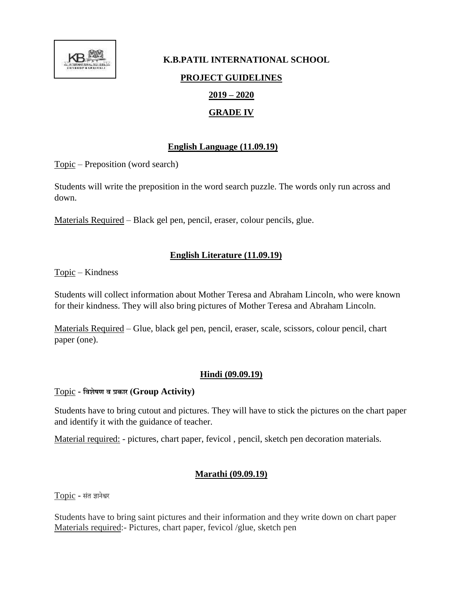

# **K.B.PATIL INTERNATIONAL SCHOOL PROJECT GUIDELINES 2019 – 2020 GRADE IV**

### **English Language (11.09.19)**

Topic – Preposition (word search)

Students will write the preposition in the word search puzzle. The words only run across and down.

Materials Required – Black gel pen, pencil, eraser, colour pencils, glue.

## **English Literature (11.09.19)**

Topic – Kindness

Students will collect information about Mother Teresa and Abraham Lincoln, who were known for their kindness. They will also bring pictures of Mother Teresa and Abraham Lincoln.

Materials Required – Glue, black gel pen, pencil, eraser, scale, scissors, colour pencil, chart paper (one).

#### **Hindi (09.09.19)**

#### Topic **- विशेषण ि प्रकार (Group Activity)**

Students have to bring cutout and pictures. They will have to stick the pictures on the chart paper and identify it with the guidance of teacher.

Material required: - pictures, chart paper, fevicol, pencil, sketch pen decoration materials.

#### **Marathi (09.09.19)**

Topic **-** संत ज्ञानेश्वर

Students have to bring saint pictures and their information and they write down on chart paper Materials required:- Pictures, chart paper, fevicol /glue, sketch pen